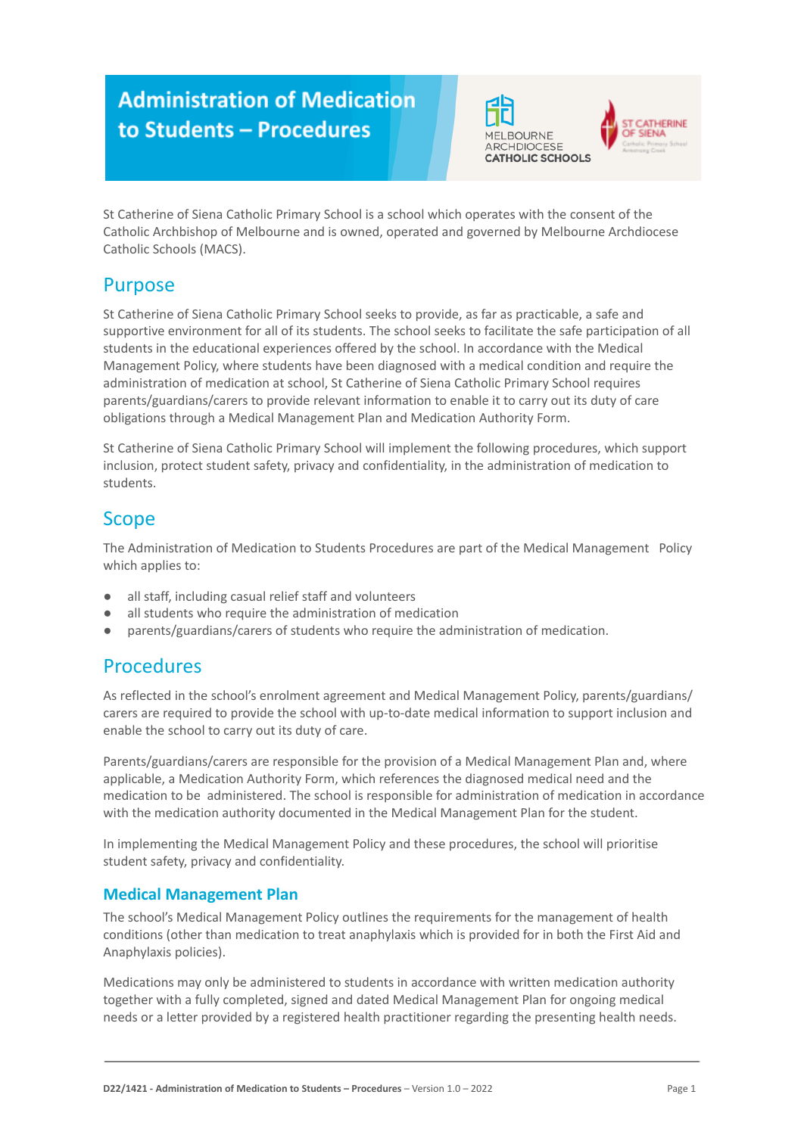# **Administration of Medication** to Students - Procedures





St Catherine of Siena Catholic Primary School is a school which operates with the consent of the Catholic Archbishop of Melbourne and is owned, operated and governed by Melbourne Archdiocese Catholic Schools (MACS).

# Purpose

St Catherine of Siena Catholic Primary School seeks to provide, as far as practicable, a safe and supportive environment for all of its students. The school seeks to facilitate the safe participation of all students in the educational experiences offered by the school. In accordance with the Medical Management Policy, where students have been diagnosed with a medical condition and require the administration of medication at school, St Catherine of Siena Catholic Primary School requires parents/guardians/carers to provide relevant information to enable it to carry out its duty of care obligations through a Medical Management Plan and Medication Authority Form.

St Catherine of Siena Catholic Primary School will implement the following procedures, which support inclusion, protect student safety, privacy and confidentiality, in the administration of medication to students.

# Scope

The Administration of Medication to Students Procedures are part of the Medical Management Policy which applies to:

- all staff, including casual relief staff and volunteers
- all students who require the administration of medication
- parents/guardians/carers of students who require the administration of medication.

### Procedures

As reflected in the school's enrolment agreement and Medical Management Policy, parents/guardians/ carers are required to provide the school with up-to-date medical information to support inclusion and enable the school to carry out its duty of care.

Parents/guardians/carers are responsible for the provision of a Medical Management Plan and, where applicable, a Medication Authority Form, which references the diagnosed medical need and the medication to be administered. The school is responsible for administration of medication in accordance with the medication authority documented in the Medical Management Plan for the student.

In implementing the Medical Management Policy and these procedures, the school will prioritise student safety, privacy and confidentiality.

### **Medical Management Plan**

The school's Medical Management Policy outlines the requirements for the management of health conditions (other than medication to treat anaphylaxis which is provided for in both the First Aid and Anaphylaxis policies).

Medications may only be administered to students in accordance with written medication authority together with a fully completed, signed and dated Medical Management Plan for ongoing medical needs or a letter provided by a registered health practitioner regarding the presenting health needs.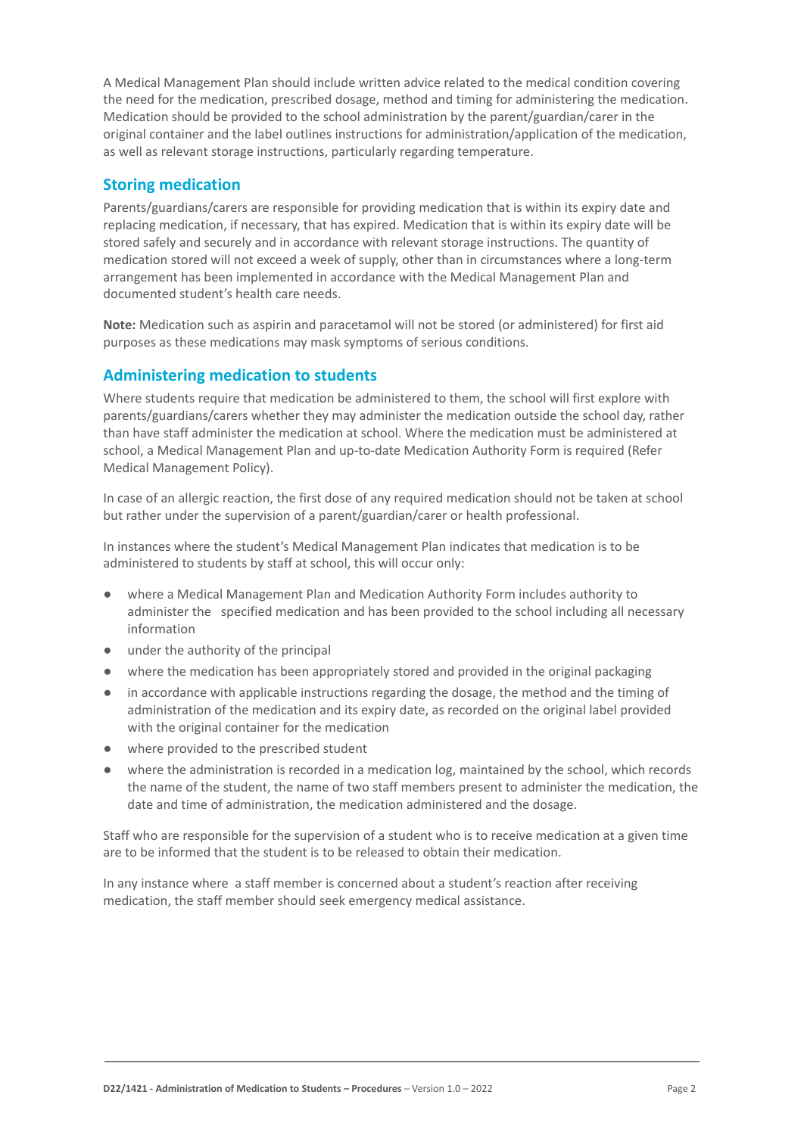A Medical Management Plan should include written advice related to the medical condition covering the need for the medication, prescribed dosage, method and timing for administering the medication. Medication should be provided to the school administration by the parent/guardian/carer in the original container and the label outlines instructions for administration/application of the medication, as well as relevant storage instructions, particularly regarding temperature.

#### **Storing medication**

Parents/guardians/carers are responsible for providing medication that is within its expiry date and replacing medication, if necessary, that has expired. Medication that is within its expiry date will be stored safely and securely and in accordance with relevant storage instructions. The quantity of medication stored will not exceed a week of supply, other than in circumstances where a long-term arrangement has been implemented in accordance with the Medical Management Plan and documented student's health care needs.

**Note:** Medication such as aspirin and paracetamol will not be stored (or administered) for first aid purposes as these medications may mask symptoms of serious conditions.

### **Administering medication to students**

Where students require that medication be administered to them, the school will first explore with parents/guardians/carers whether they may administer the medication outside the school day, rather than have staff administer the medication at school. Where the medication must be administered at school, a Medical Management Plan and up-to-date Medication Authority Form is required (Refer Medical Management Policy).

In case of an allergic reaction, the first dose of any required medication should not be taken at school but rather under the supervision of a parent/guardian/carer or health professional.

In instances where the student's Medical Management Plan indicates that medication is to be administered to students by staff at school, this will occur only:

- where a Medical Management Plan and Medication Authority Form includes authority to administer the specified medication and has been provided to the school including all necessary information
- under the authority of the principal
- where the medication has been appropriately stored and provided in the original packaging
- in accordance with applicable instructions regarding the dosage, the method and the timing of administration of the medication and its expiry date, as recorded on the original label provided with the original container for the medication
- where provided to the prescribed student
- where the administration is recorded in a medication log, maintained by the school, which records the name of the student, the name of two staff members present to administer the medication, the date and time of administration, the medication administered and the dosage.

Staff who are responsible for the supervision of a student who is to receive medication at a given time are to be informed that the student is to be released to obtain their medication.

In any instance where a staff member is concerned about a student's reaction after receiving medication, the staff member should seek emergency medical assistance.